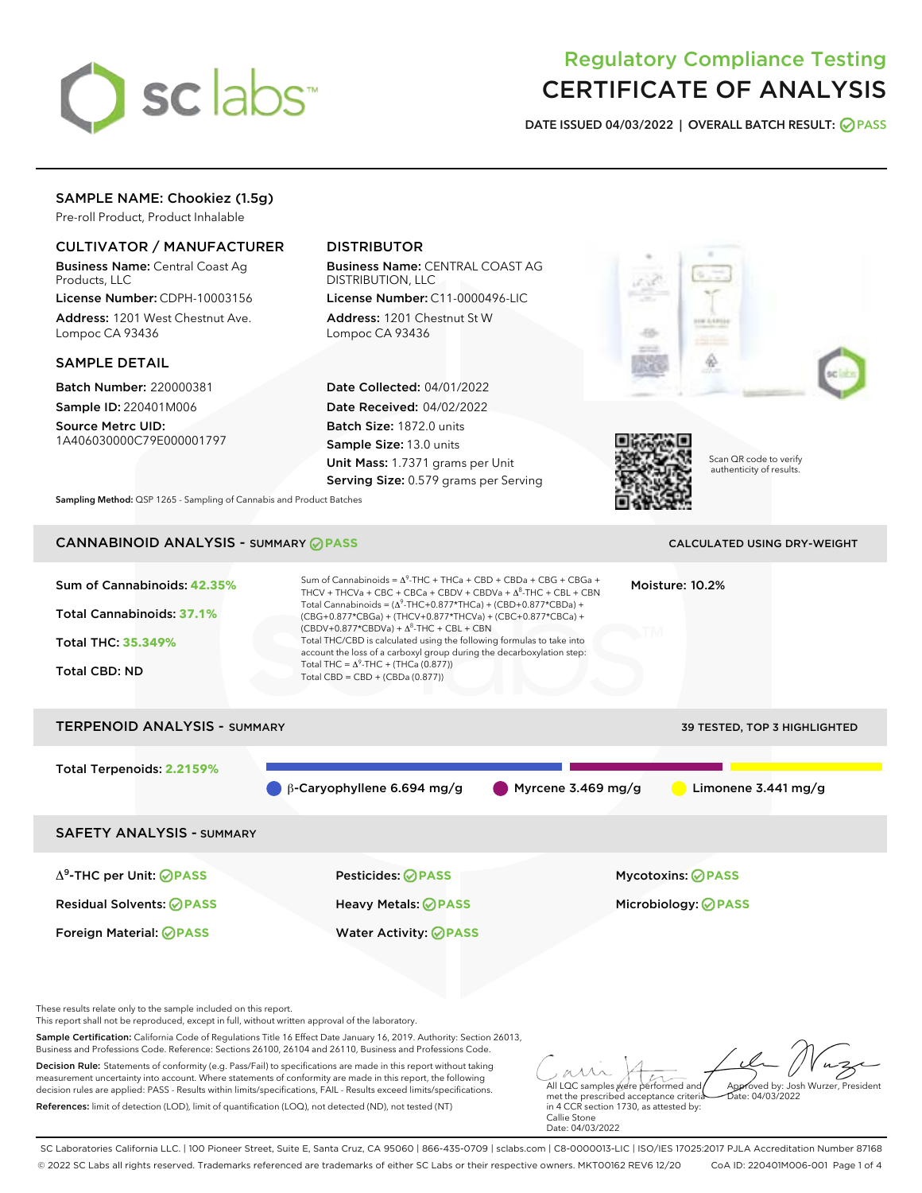

# Regulatory Compliance Testing CERTIFICATE OF ANALYSIS

DATE ISSUED 04/03/2022 | OVERALL BATCH RESULT: @ PASS

# SAMPLE NAME: Chookiez (1.5g)

Pre-roll Product, Product Inhalable

# CULTIVATOR / MANUFACTURER

Business Name: Central Coast Ag Products, LLC

License Number: CDPH-10003156 Address: 1201 West Chestnut Ave. Lompoc CA 93436

## SAMPLE DETAIL

Batch Number: 220000381 Sample ID: 220401M006

Source Metrc UID: 1A406030000C79E000001797

# DISTRIBUTOR

Business Name: CENTRAL COAST AG DISTRIBUTION, LLC

License Number: C11-0000496-LIC Address: 1201 Chestnut St W Lompoc CA 93436

Date Collected: 04/01/2022 Date Received: 04/02/2022 Batch Size: 1872.0 units Sample Size: 13.0 units Unit Mass: 1.7371 grams per Unit Serving Size: 0.579 grams per Serving





Scan QR code to verify authenticity of results.

Sampling Method: QSP 1265 - Sampling of Cannabis and Product Batches

# CANNABINOID ANALYSIS - SUMMARY **PASS** CALCULATED USING DRY-WEIGHT

# Sum of Cannabinoids: **42.35%** Total Cannabinoids: **37.1%** Total THC: **35.349%** Total CBD: ND Sum of Cannabinoids =  $\Delta^9$ -THC + THCa + CBD + CBDa + CBG + CBGa + THCV + THCVa + CBC + CBCa + CBDV + CBDVa +  $\Delta^8$ -THC + CBL + CBN Total Cannabinoids = ( $\Delta^9$ -THC+0.877\*THCa) + (CBD+0.877\*CBDa) + (CBG+0.877\*CBGa) + (THCV+0.877\*THCVa) + (CBC+0.877\*CBCa) +  $(CBDV+0.877*CBDVa) + \Delta^8$ -THC + CBL + CBN Total THC/CBD is calculated using the following formulas to take into account the loss of a carboxyl group during the decarboxylation step: Total THC =  $\Delta^9$ -THC + (THCa (0.877)) Total CBD = CBD + (CBDa (0.877)) Moisture: 10.2% TERPENOID ANALYSIS - SUMMARY 39 TESTED, TOP 3 HIGHLIGHTED Total Terpenoids: **2.2159%** β-Caryophyllene 6.694 mg/g Myrcene 3.469 mg/g Limonene 3.441 mg/g SAFETY ANALYSIS - SUMMARY

Δ9-THC per Unit: **PASS** Pesticides: **PASS** Mycotoxins: **PASS** Residual Solvents: **PASS** Heavy Metals: **PASS** Microbiology: **PASS**

Foreign Material: **PASS** Water Activity: **PASS**

These results relate only to the sample included on this report.

This report shall not be reproduced, except in full, without written approval of the laboratory.

Sample Certification: California Code of Regulations Title 16 Effect Date January 16, 2019. Authority: Section 26013, Business and Professions Code. Reference: Sections 26100, 26104 and 26110, Business and Professions Code.

Decision Rule: Statements of conformity (e.g. Pass/Fail) to specifications are made in this report without taking measurement uncertainty into account. Where statements of conformity are made in this report, the following decision rules are applied: PASS - Results within limits/specifications, FAIL - Results exceed limits/specifications. References: limit of detection (LOD), limit of quantification (LOQ), not detected (ND), not tested (NT)

All LQC samples were performed and Approved by: Josh Wurzer, President  $ate: 04/03/2022$ 

met the prescribed acceptance criteria in 4 CCR section 1730, as attested by: Callie Stone Date: 04/03/2022

SC Laboratories California LLC. | 100 Pioneer Street, Suite E, Santa Cruz, CA 95060 | 866-435-0709 | sclabs.com | C8-0000013-LIC | ISO/IES 17025:2017 PJLA Accreditation Number 87168 © 2022 SC Labs all rights reserved. Trademarks referenced are trademarks of either SC Labs or their respective owners. MKT00162 REV6 12/20 CoA ID: 220401M006-001 Page 1 of 4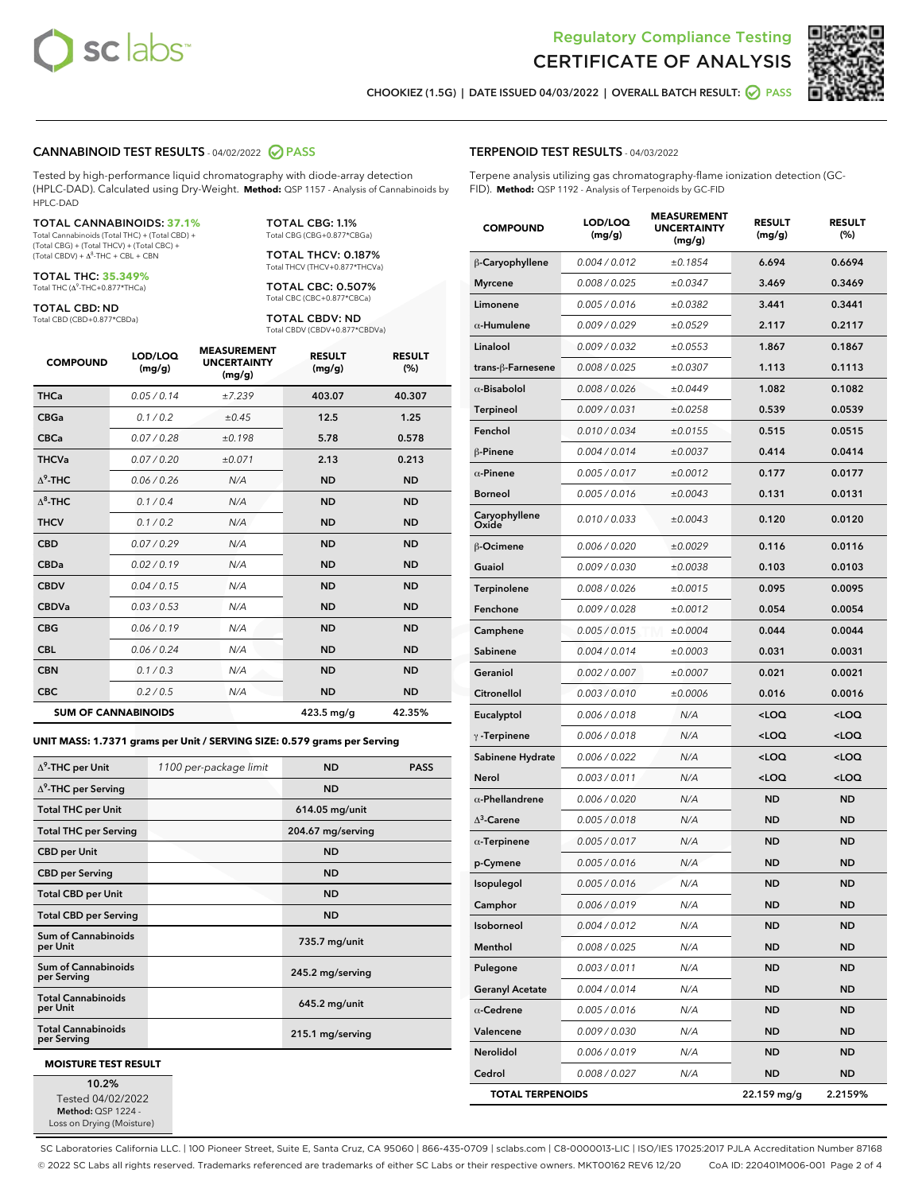



CHOOKIEZ (1.5G) | DATE ISSUED 04/03/2022 | OVERALL BATCH RESULT: @ PASS

## CANNABINOID TEST RESULTS - 04/02/2022 2 PASS

Tested by high-performance liquid chromatography with diode-array detection (HPLC-DAD). Calculated using Dry-Weight. **Method:** QSP 1157 - Analysis of Cannabinoids by HPLC-DAD

#### TOTAL CANNABINOIDS: **37.1%**

Total Cannabinoids (Total THC) + (Total CBD) + (Total CBG) + (Total THCV) + (Total CBC) +<br>(Total CBDV) + Δ<sup>8</sup>-THC + CBL + CBN

TOTAL THC: **35.349%**

Total THC (Δ<sup>9</sup> -THC+0.877\*THCa)

TOTAL CBD: ND

Total CBD (CBD+0.877\*CBDa)

TOTAL CBG: 1.1% Total CBG (CBG+0.877\*CBGa)

TOTAL THCV: 0.187% Total THCV (THCV+0.877\*THCVa)

TOTAL CBC: 0.507% Total CBC (CBC+0.877\*CBCa)

TOTAL CBDV: ND Total CBDV (CBDV+0.877\*CBDVa)

| <b>COMPOUND</b>  | LOD/LOQ<br>(mg/g)          | <b>MEASUREMENT</b><br><b>UNCERTAINTY</b><br>(mg/g) | <b>RESULT</b><br>(mg/g) | <b>RESULT</b><br>(%) |
|------------------|----------------------------|----------------------------------------------------|-------------------------|----------------------|
| <b>THCa</b>      | 0.05 / 0.14                | ±7.239                                             | 403.07                  | 40.307               |
| <b>CBGa</b>      | 0.1/0.2                    | $\pm 0.45$                                         | 12.5                    | 1.25                 |
| <b>CBCa</b>      | 0.07 / 0.28                | ±0.198                                             | 5.78                    | 0.578                |
| <b>THCVa</b>     | 0.07 / 0.20                | ±0.071                                             | 2.13                    | 0.213                |
| $\Lambda^9$ -THC | 0.06 / 0.26                | N/A                                                | <b>ND</b>               | <b>ND</b>            |
| $\Lambda^8$ -THC | 0.1/0.4                    | N/A                                                | <b>ND</b>               | <b>ND</b>            |
| <b>THCV</b>      | 0.1 / 0.2                  | N/A                                                | <b>ND</b>               | <b>ND</b>            |
| <b>CBD</b>       | 0.07/0.29                  | N/A                                                | <b>ND</b>               | <b>ND</b>            |
| <b>CBDa</b>      | 0.02/0.19                  | N/A                                                | <b>ND</b>               | <b>ND</b>            |
| <b>CBDV</b>      | 0.04 / 0.15                | N/A                                                | <b>ND</b>               | <b>ND</b>            |
| <b>CBDVa</b>     | 0.03/0.53                  | N/A                                                | <b>ND</b>               | <b>ND</b>            |
| <b>CBG</b>       | 0.06/0.19                  | N/A                                                | <b>ND</b>               | <b>ND</b>            |
| <b>CBL</b>       | 0.06 / 0.24                | N/A                                                | <b>ND</b>               | <b>ND</b>            |
| <b>CBN</b>       | 0.1 / 0.3                  | N/A                                                | <b>ND</b>               | <b>ND</b>            |
| <b>CBC</b>       | 0.2 / 0.5                  | N/A                                                | <b>ND</b>               | <b>ND</b>            |
|                  | <b>SUM OF CANNABINOIDS</b> |                                                    | $423.5$ mg/g            | 42.35%               |

**UNIT MASS: 1.7371 grams per Unit / SERVING SIZE: 0.579 grams per Serving**

| $\Delta^9$ -THC per Unit                  | 1100 per-package limit | <b>ND</b>         | <b>PASS</b> |
|-------------------------------------------|------------------------|-------------------|-------------|
| $\Delta^9$ -THC per Serving               |                        | <b>ND</b>         |             |
| <b>Total THC per Unit</b>                 |                        | 614.05 mg/unit    |             |
| <b>Total THC per Serving</b>              |                        | 204.67 mg/serving |             |
| <b>CBD</b> per Unit                       |                        | <b>ND</b>         |             |
| <b>CBD</b> per Serving                    |                        | <b>ND</b>         |             |
| <b>Total CBD per Unit</b>                 |                        | <b>ND</b>         |             |
| <b>Total CBD per Serving</b>              |                        | <b>ND</b>         |             |
| Sum of Cannabinoids<br>per Unit           |                        | 735.7 mg/unit     |             |
| <b>Sum of Cannabinoids</b><br>per Serving |                        | 245.2 mg/serving  |             |
| <b>Total Cannabinoids</b><br>per Unit     |                        | $645.2$ mg/unit   |             |
| <b>Total Cannabinoids</b><br>per Serving  |                        | 215.1 mg/serving  |             |
| <b>MOISTURE TEST RESULT</b>               |                        |                   |             |

10.2% Tested 04/02/2022

Method: QSP 1224 - Loss on Drying (Moisture)

## TERPENOID TEST RESULTS - 04/03/2022

Terpene analysis utilizing gas chromatography-flame ionization detection (GC-FID). **Method:** QSP 1192 - Analysis of Terpenoids by GC-FID

| <b>COMPOUND</b>         | LOD/LOQ<br>(mg/g) | <b>MEASUREMENT</b><br><b>UNCERTAINTY</b><br>(mg/g) | <b>RESULT</b><br>(mg/g)                         | <b>RESULT</b><br>$(\%)$ |
|-------------------------|-------------------|----------------------------------------------------|-------------------------------------------------|-------------------------|
| β-Caryophyllene         | 0.004 / 0.012     | ±0.1854                                            | 6.694                                           | 0.6694                  |
| <b>Myrcene</b>          | 0.008 / 0.025     | ±0.0347                                            | 3.469                                           | 0.3469                  |
| Limonene                | 0.005 / 0.016     | ±0.0382                                            | 3.441                                           | 0.3441                  |
| $\alpha$ -Humulene      | 0.009 / 0.029     | ±0.0529                                            | 2.117                                           | 0.2117                  |
| Linalool                | 0.009 / 0.032     | ±0.0553                                            | 1.867                                           | 0.1867                  |
| trans-ß-Farnesene       | 0.008 / 0.025     | ±0.0307                                            | 1.113                                           | 0.1113                  |
| $\alpha$ -Bisabolol     | 0.008 / 0.026     | ±0.0449                                            | 1.082                                           | 0.1082                  |
| Terpineol               | 0.009 / 0.031     | ±0.0258                                            | 0.539                                           | 0.0539                  |
| Fenchol                 | 0.010 / 0.034     | ±0.0155                                            | 0.515                                           | 0.0515                  |
| β-Pinene                | 0.004 / 0.014     | ±0.0037                                            | 0.414                                           | 0.0414                  |
| $\alpha$ -Pinene        | 0.005 / 0.017     | ±0.0012                                            | 0.177                                           | 0.0177                  |
| <b>Borneol</b>          | 0.005 / 0.016     | ±0.0043                                            | 0.131                                           | 0.0131                  |
| Caryophyllene<br>Oxide  | 0.010 / 0.033     | ±0.0043                                            | 0.120                                           | 0.0120                  |
| β-Ocimene               | 0.006 / 0.020     | ±0.0029                                            | 0.116                                           | 0.0116                  |
| Guaiol                  | 0.009 / 0.030     | ±0.0038                                            | 0.103                                           | 0.0103                  |
| Terpinolene             | 0.008 / 0.026     | ±0.0015                                            | 0.095                                           | 0.0095                  |
| Fenchone                | 0.009 / 0.028     | ±0.0012                                            | 0.054                                           | 0.0054                  |
| Camphene                | 0.005 / 0.015     | ±0.0004                                            | 0.044                                           | 0.0044                  |
| Sabinene                | 0.004 / 0.014     | ±0.0003                                            | 0.031                                           | 0.0031                  |
| Geraniol                | 0.002 / 0.007     | ±0.0007                                            | 0.021                                           | 0.0021                  |
| Citronellol             | 0.003 / 0.010     | ±0.0006                                            | 0.016                                           | 0.0016                  |
| Eucalyptol              | 0.006 / 0.018     | N/A                                                | <loq< th=""><th><loq< th=""></loq<></th></loq<> | <loq< th=""></loq<>     |
| $\gamma$ -Terpinene     | 0.006 / 0.018     | N/A                                                | <loq< th=""><th><loq< th=""></loq<></th></loq<> | <loq< th=""></loq<>     |
| Sabinene Hydrate        | 0.006 / 0.022     | N/A                                                | $<$ LOQ                                         | $<$ LOQ                 |
| Nerol                   | 0.003 / 0.011     | N/A                                                | <loq< th=""><th><loq< th=""></loq<></th></loq<> | <loq< th=""></loq<>     |
| $\alpha$ -Phellandrene  | 0.006 / 0.020     | N/A                                                | <b>ND</b>                                       | <b>ND</b>               |
| $\Delta^3$ -Carene      | 0.005 / 0.018     | N/A                                                | ND                                              | <b>ND</b>               |
| $\alpha$ -Terpinene     | 0.005 / 0.017     | N/A                                                | <b>ND</b>                                       | <b>ND</b>               |
| p-Cymene                | 0.005 / 0.016     | N/A                                                | <b>ND</b>                                       | <b>ND</b>               |
| Isopulegol              | 0.005 / 0.016     | N/A                                                | <b>ND</b>                                       | <b>ND</b>               |
| Camphor                 | 0.006 / 0.019     | N/A                                                | ND                                              | ND                      |
| Isoborneol              | 0.004 / 0.012     | N/A                                                | ND                                              | ND                      |
| Menthol                 | 0.008 / 0.025     | N/A                                                | <b>ND</b>                                       | ND                      |
| Pulegone                | 0.003 / 0.011     | N/A                                                | <b>ND</b>                                       | ND                      |
| <b>Geranyl Acetate</b>  | 0.004 / 0.014     | N/A                                                | ND                                              | ND                      |
| $\alpha$ -Cedrene       | 0.005 / 0.016     | N/A                                                | ND                                              | ND                      |
| Valencene               | 0.009 / 0.030     | N/A                                                | <b>ND</b>                                       | ND                      |
| Nerolidol               | 0.006 / 0.019     | N/A                                                | ND                                              | ND                      |
| Cedrol                  | 0.008 / 0.027     | N/A                                                | <b>ND</b>                                       | ND                      |
| <b>TOTAL TERPENOIDS</b> |                   |                                                    | 22.159 mg/g                                     | 2.2159%                 |

SC Laboratories California LLC. | 100 Pioneer Street, Suite E, Santa Cruz, CA 95060 | 866-435-0709 | sclabs.com | C8-0000013-LIC | ISO/IES 17025:2017 PJLA Accreditation Number 87168 © 2022 SC Labs all rights reserved. Trademarks referenced are trademarks of either SC Labs or their respective owners. MKT00162 REV6 12/20 CoA ID: 220401M006-001 Page 2 of 4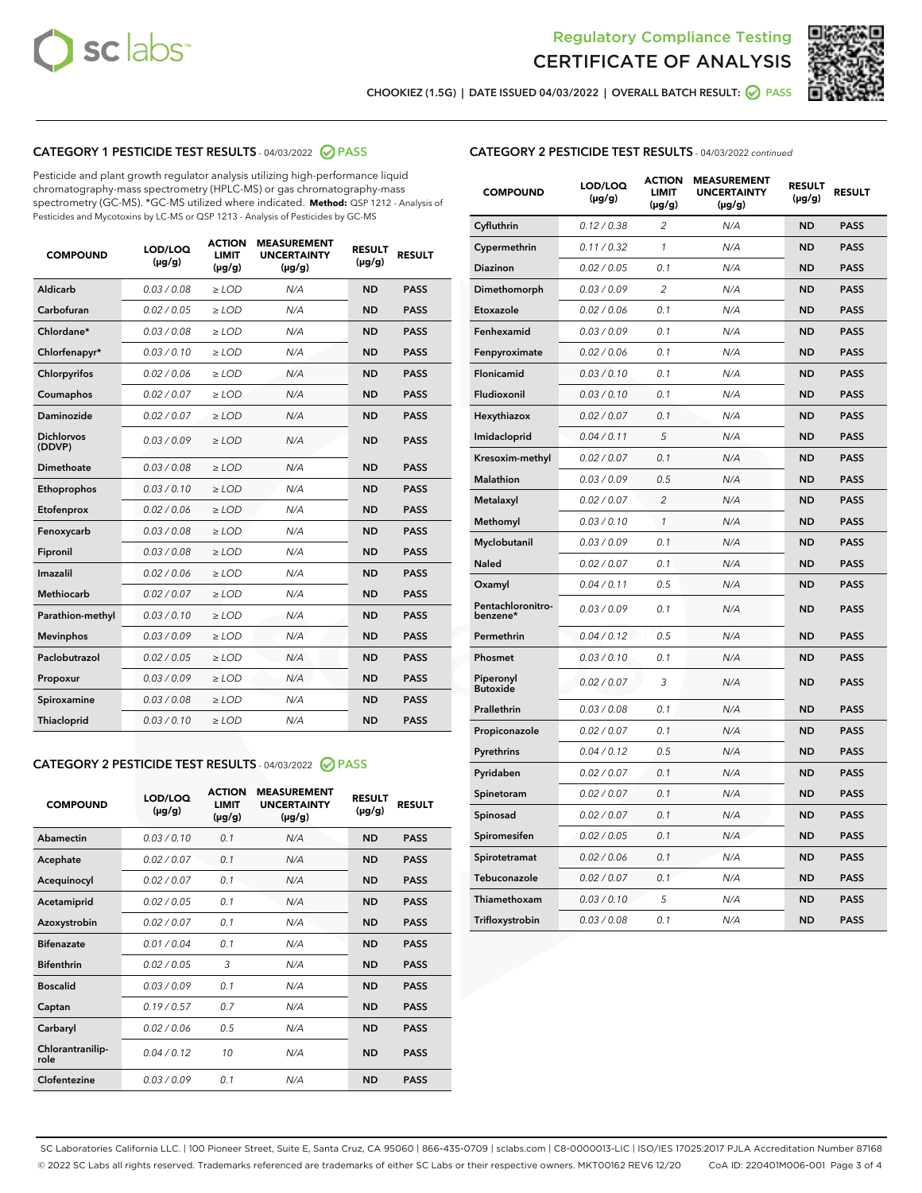



CHOOKIEZ (1.5G) | DATE ISSUED 04/03/2022 | OVERALL BATCH RESULT: ● PASS

# CATEGORY 1 PESTICIDE TEST RESULTS - 04/03/2022 2 PASS

Pesticide and plant growth regulator analysis utilizing high-performance liquid chromatography-mass spectrometry (HPLC-MS) or gas chromatography-mass spectrometry (GC-MS). \*GC-MS utilized where indicated. **Method:** QSP 1212 - Analysis of Pesticides and Mycotoxins by LC-MS or QSP 1213 - Analysis of Pesticides by GC-MS

| <b>COMPOUND</b>             | LOD/LOQ<br>$(\mu g/g)$ | <b>ACTION</b><br>LIMIT<br>$(\mu g/g)$ | <b>MEASUREMENT</b><br><b>UNCERTAINTY</b><br>$(\mu g/g)$ | <b>RESULT</b><br>$(\mu g/g)$ | <b>RESULT</b> |
|-----------------------------|------------------------|---------------------------------------|---------------------------------------------------------|------------------------------|---------------|
| <b>Aldicarb</b>             | 0.03 / 0.08            | $\geq$ LOD                            | N/A                                                     | <b>ND</b>                    | <b>PASS</b>   |
| Carbofuran                  | 0.02 / 0.05            | $\ge$ LOD                             | N/A                                                     | <b>ND</b>                    | <b>PASS</b>   |
| Chlordane*                  | 0.03/0.08              | $>$ LOD                               | N/A                                                     | <b>ND</b>                    | <b>PASS</b>   |
| Chlorfenapyr*               | 0.03/0.10              | $>$ LOD                               | N/A                                                     | <b>ND</b>                    | <b>PASS</b>   |
| Chlorpyrifos                | 0.02 / 0.06            | $>$ LOD                               | N/A                                                     | <b>ND</b>                    | <b>PASS</b>   |
| Coumaphos                   | 0.02 / 0.07            | $\geq$ LOD                            | N/A                                                     | <b>ND</b>                    | <b>PASS</b>   |
| <b>Daminozide</b>           | 0.02 / 0.07            | $\ge$ LOD                             | N/A                                                     | <b>ND</b>                    | <b>PASS</b>   |
| <b>Dichlorvos</b><br>(DDVP) | 0.03/0.09              | $\geq$ LOD                            | N/A                                                     | <b>ND</b>                    | <b>PASS</b>   |
| Dimethoate                  | 0.03 / 0.08            | $>$ LOD                               | N/A                                                     | <b>ND</b>                    | <b>PASS</b>   |
| Ethoprophos                 | 0.03/0.10              | $\geq$ LOD                            | N/A                                                     | <b>ND</b>                    | <b>PASS</b>   |
| Etofenprox                  | 0.02 / 0.06            | > LOD                                 | N/A                                                     | <b>ND</b>                    | <b>PASS</b>   |
| Fenoxycarb                  | 0.03 / 0.08            | $\geq$ LOD                            | N/A                                                     | <b>ND</b>                    | <b>PASS</b>   |
| Fipronil                    | 0.03 / 0.08            | $\ge$ LOD                             | N/A                                                     | <b>ND</b>                    | <b>PASS</b>   |
| Imazalil                    | 0.02 / 0.06            | $\ge$ LOD                             | N/A                                                     | <b>ND</b>                    | <b>PASS</b>   |
| <b>Methiocarb</b>           | 0.02 / 0.07            | $\ge$ LOD                             | N/A                                                     | <b>ND</b>                    | <b>PASS</b>   |
| Parathion-methyl            | 0.03/0.10              | > LOD                                 | N/A                                                     | <b>ND</b>                    | <b>PASS</b>   |
| <b>Mevinphos</b>            | 0.03/0.09              | $\ge$ LOD                             | N/A                                                     | <b>ND</b>                    | <b>PASS</b>   |
| Paclobutrazol               | 0.02 / 0.05            | $\ge$ LOD                             | N/A                                                     | <b>ND</b>                    | <b>PASS</b>   |
| Propoxur                    | 0.03 / 0.09            | $\geq$ LOD                            | N/A                                                     | <b>ND</b>                    | <b>PASS</b>   |
| Spiroxamine                 | 0.03 / 0.08            | $\ge$ LOD                             | N/A                                                     | <b>ND</b>                    | <b>PASS</b>   |
| Thiacloprid                 | 0.03/0.10              | $>$ LOD                               | N/A                                                     | <b>ND</b>                    | <b>PASS</b>   |

# CATEGORY 2 PESTICIDE TEST RESULTS - 04/03/2022 @ PASS

| <b>COMPOUND</b>          | LOD/LOO<br>$(\mu g/g)$ | <b>ACTION</b><br>LIMIT<br>$(\mu g/g)$ | <b>MEASUREMENT</b><br><b>UNCERTAINTY</b><br>$(\mu g/g)$ | <b>RESULT</b><br>$(\mu g/g)$ | <b>RESULT</b> |
|--------------------------|------------------------|---------------------------------------|---------------------------------------------------------|------------------------------|---------------|
| Abamectin                | 0.03/0.10              | 0.1                                   | N/A                                                     | <b>ND</b>                    | <b>PASS</b>   |
| Acephate                 | 0.02/0.07              | 0.1                                   | N/A                                                     | <b>ND</b>                    | <b>PASS</b>   |
| Acequinocyl              | 0.02/0.07              | 0.1                                   | N/A                                                     | <b>ND</b>                    | <b>PASS</b>   |
| Acetamiprid              | 0.02/0.05              | 0.1                                   | N/A                                                     | <b>ND</b>                    | <b>PASS</b>   |
| Azoxystrobin             | 0.02/0.07              | 0.1                                   | N/A                                                     | <b>ND</b>                    | <b>PASS</b>   |
| <b>Bifenazate</b>        | 0.01/0.04              | 0.1                                   | N/A                                                     | <b>ND</b>                    | <b>PASS</b>   |
| <b>Bifenthrin</b>        | 0.02 / 0.05            | 3                                     | N/A                                                     | <b>ND</b>                    | <b>PASS</b>   |
| <b>Boscalid</b>          | 0.03/0.09              | 0.1                                   | N/A                                                     | <b>ND</b>                    | <b>PASS</b>   |
| Captan                   | 0.19/0.57              | 0.7                                   | N/A                                                     | <b>ND</b>                    | <b>PASS</b>   |
| Carbaryl                 | 0.02/0.06              | 0.5                                   | N/A                                                     | <b>ND</b>                    | <b>PASS</b>   |
| Chlorantranilip-<br>role | 0.04/0.12              | 10                                    | N/A                                                     | <b>ND</b>                    | <b>PASS</b>   |
| Clofentezine             | 0.03/0.09              | 0.1                                   | N/A                                                     | <b>ND</b>                    | <b>PASS</b>   |

# CATEGORY 2 PESTICIDE TEST RESULTS - 04/03/2022 continued

| <b>COMPOUND</b>               | LOD/LOQ<br>(µg/g) | <b>ACTION</b><br><b>LIMIT</b><br>(µg/g) | <b>MEASUREMENT</b><br><b>UNCERTAINTY</b><br>$(\mu g/g)$ | <b>RESULT</b><br>(µg/g) | <b>RESULT</b> |
|-------------------------------|-------------------|-----------------------------------------|---------------------------------------------------------|-------------------------|---------------|
| Cyfluthrin                    | 0.12 / 0.38       | $\overline{c}$                          | N/A                                                     | <b>ND</b>               | <b>PASS</b>   |
| Cypermethrin                  | 0.11 / 0.32       | 1                                       | N/A                                                     | <b>ND</b>               | <b>PASS</b>   |
| <b>Diazinon</b>               | 0.02 / 0.05       | 0.1                                     | N/A                                                     | <b>ND</b>               | <b>PASS</b>   |
| Dimethomorph                  | 0.03 / 0.09       | 2                                       | N/A                                                     | <b>ND</b>               | <b>PASS</b>   |
| Etoxazole                     | 0.02 / 0.06       | 0.1                                     | N/A                                                     | <b>ND</b>               | <b>PASS</b>   |
| Fenhexamid                    | 0.03 / 0.09       | 0.1                                     | N/A                                                     | <b>ND</b>               | <b>PASS</b>   |
| Fenpyroximate                 | 0.02 / 0.06       | 0.1                                     | N/A                                                     | <b>ND</b>               | <b>PASS</b>   |
| Flonicamid                    | 0.03 / 0.10       | 0.1                                     | N/A                                                     | <b>ND</b>               | <b>PASS</b>   |
| Fludioxonil                   | 0.03 / 0.10       | 0.1                                     | N/A                                                     | <b>ND</b>               | <b>PASS</b>   |
| Hexythiazox                   | 0.02 / 0.07       | 0.1                                     | N/A                                                     | <b>ND</b>               | <b>PASS</b>   |
| Imidacloprid                  | 0.04 / 0.11       | 5                                       | N/A                                                     | <b>ND</b>               | <b>PASS</b>   |
| Kresoxim-methyl               | 0.02 / 0.07       | 0.1                                     | N/A                                                     | <b>ND</b>               | <b>PASS</b>   |
| <b>Malathion</b>              | 0.03 / 0.09       | 0.5                                     | N/A                                                     | <b>ND</b>               | <b>PASS</b>   |
| Metalaxyl                     | 0.02 / 0.07       | $\overline{c}$                          | N/A                                                     | <b>ND</b>               | <b>PASS</b>   |
| Methomyl                      | 0.03 / 0.10       | 1                                       | N/A                                                     | <b>ND</b>               | <b>PASS</b>   |
| Myclobutanil                  | 0.03 / 0.09       | 0.1                                     | N/A                                                     | <b>ND</b>               | <b>PASS</b>   |
| Naled                         | 0.02 / 0.07       | 0.1                                     | N/A                                                     | <b>ND</b>               | <b>PASS</b>   |
| Oxamyl                        | 0.04 / 0.11       | 0.5                                     | N/A                                                     | <b>ND</b>               | <b>PASS</b>   |
| Pentachloronitro-<br>benzene* | 0.03/0.09         | 0.1                                     | N/A                                                     | <b>ND</b>               | <b>PASS</b>   |
| Permethrin                    | 0.04 / 0.12       | 0.5                                     | N/A                                                     | <b>ND</b>               | <b>PASS</b>   |
| Phosmet                       | 0.03 / 0.10       | 0.1                                     | N/A                                                     | <b>ND</b>               | <b>PASS</b>   |
| Piperonyl<br><b>Butoxide</b>  | 0.02 / 0.07       | 3                                       | N/A                                                     | <b>ND</b>               | <b>PASS</b>   |
| Prallethrin                   | 0.03 / 0.08       | 0.1                                     | N/A                                                     | <b>ND</b>               | <b>PASS</b>   |
| Propiconazole                 | 0.02 / 0.07       | 0.1                                     | N/A                                                     | <b>ND</b>               | <b>PASS</b>   |
| Pyrethrins                    | 0.04 / 0.12       | 0.5                                     | N/A                                                     | <b>ND</b>               | <b>PASS</b>   |
| Pyridaben                     | 0.02 / 0.07       | 0.1                                     | N/A                                                     | <b>ND</b>               | <b>PASS</b>   |
| Spinetoram                    | 0.02 / 0.07       | 0.1                                     | N/A                                                     | <b>ND</b>               | <b>PASS</b>   |
| Spinosad                      | 0.02 / 0.07       | 0.1                                     | N/A                                                     | <b>ND</b>               | <b>PASS</b>   |
| Spiromesifen                  | 0.02 / 0.05       | 0.1                                     | N/A                                                     | <b>ND</b>               | <b>PASS</b>   |
| Spirotetramat                 | 0.02 / 0.06       | 0.1                                     | N/A                                                     | <b>ND</b>               | <b>PASS</b>   |
| Tebuconazole                  | 0.02 / 0.07       | 0.1                                     | N/A                                                     | <b>ND</b>               | <b>PASS</b>   |
| Thiamethoxam                  | 0.03 / 0.10       | 5                                       | N/A                                                     | <b>ND</b>               | <b>PASS</b>   |
| Trifloxystrobin               | 0.03 / 0.08       | 0.1                                     | N/A                                                     | <b>ND</b>               | <b>PASS</b>   |

SC Laboratories California LLC. | 100 Pioneer Street, Suite E, Santa Cruz, CA 95060 | 866-435-0709 | sclabs.com | C8-0000013-LIC | ISO/IES 17025:2017 PJLA Accreditation Number 87168 © 2022 SC Labs all rights reserved. Trademarks referenced are trademarks of either SC Labs or their respective owners. MKT00162 REV6 12/20 CoA ID: 220401M006-001 Page 3 of 4